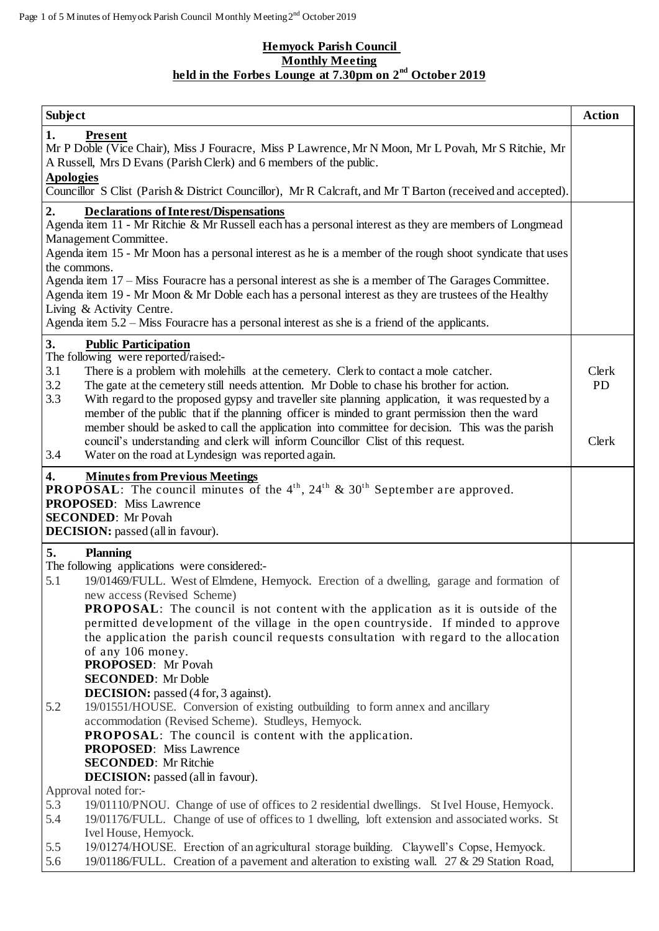## **Hemyock Parish Council Monthly Meeting held in the Forbes Lounge at 7.30pm on 2 nd October 2019**

| <b>Subject</b>                                                                                                                                                                                                                                                                                                                                                                                                                                                                                                                                                                             | <b>Action</b>      |
|--------------------------------------------------------------------------------------------------------------------------------------------------------------------------------------------------------------------------------------------------------------------------------------------------------------------------------------------------------------------------------------------------------------------------------------------------------------------------------------------------------------------------------------------------------------------------------------------|--------------------|
| 1.<br>Present<br>Mr P Doble (Vice Chair), Miss J Fouracre, Miss P Lawrence, Mr N Moon, Mr L Povah, Mr S Ritchie, Mr<br>A Russell, Mrs D Evans (Parish Clerk) and 6 members of the public.<br><b>Apologies</b>                                                                                                                                                                                                                                                                                                                                                                              |                    |
| Councillor S Clist (Parish & District Councillor), Mr R Calcraft, and Mr T Barton (received and accepted).                                                                                                                                                                                                                                                                                                                                                                                                                                                                                 |                    |
| 2.<br><b>Declarations of Interest/Dispensations</b><br>Agenda item 11 - Mr Ritchie & Mr Russell each has a personal interest as they are members of Longmead<br>Management Committee.<br>Agenda item 15 - Mr Moon has a personal interest as he is a member of the rough shoot syndicate that uses<br>the commons.<br>Agenda item 17 – Miss Fouracre has a personal interest as she is a member of The Garages Committee.<br>Agenda item 19 - Mr Moon & Mr Doble each has a personal interest as they are trustees of the Healthy<br>Living & Activity Centre.                             |                    |
| Agenda item 5.2 – Miss Fouracre has a personal interest as she is a friend of the applicants.                                                                                                                                                                                                                                                                                                                                                                                                                                                                                              |                    |
| 3.<br><b>Public Participation</b><br>The following were reported/raised:-<br>3.1<br>There is a problem with molehills at the cemetery. Clerk to contact a mole catcher.<br>3.2<br>The gate at the cemetery still needs attention. Mr Doble to chase his brother for action.<br>3.3<br>With regard to the proposed gypsy and traveller site planning application, it was requested by a<br>member of the public that if the planning officer is minded to grant permission then the ward<br>member should be asked to call the application into committee for decision. This was the parish | Clerk<br><b>PD</b> |
| council's understanding and clerk will inform Councillor Clist of this request.<br>3.4<br>Water on the road at Lyndesign was reported again.                                                                                                                                                                                                                                                                                                                                                                                                                                               | Clerk              |
| $\boldsymbol{4}$ .<br><b>Minutes from Previous Meetings</b><br><b>PROPOSAL:</b> The council minutes of the $4th$ , $24th$ & $30th$ September are approved.<br><b>PROPOSED:</b> Miss Lawrence<br><b>SECONDED:</b> Mr Povah<br><b>DECISION:</b> passed (all in favour).                                                                                                                                                                                                                                                                                                                      |                    |
| 5.<br><b>Planning</b>                                                                                                                                                                                                                                                                                                                                                                                                                                                                                                                                                                      |                    |
| The following applications were considered:-<br>5.1<br>19/01469/FULL. West of Elmdene, Hemyock. Erection of a dwelling, garage and formation of<br>new access (Revised Scheme)<br><b>PROPOSAL:</b> The council is not content with the application as it is outside of the<br>permitted development of the village in the open countryside. If minded to approve                                                                                                                                                                                                                           |                    |
| the application the parish council requests consultation with regard to the allocation<br>of any 106 money.<br><b>PROPOSED:</b> Mr Povah<br><b>SECONDED:</b> Mr Doble<br><b>DECISION:</b> passed (4 for, 3 against).                                                                                                                                                                                                                                                                                                                                                                       |                    |
| 5.2<br>19/01551/HOUSE. Conversion of existing outbuilding to form annex and ancillary<br>accommodation (Revised Scheme). Studleys, Hemyock.<br><b>PROPOSAL:</b> The council is content with the application.<br><b>PROPOSED:</b> Miss Lawrence<br><b>SECONDED:</b> Mr Ritchie<br><b>DECISION:</b> passed (all in favour).                                                                                                                                                                                                                                                                  |                    |
| Approval noted for:-                                                                                                                                                                                                                                                                                                                                                                                                                                                                                                                                                                       |                    |
| 19/01110/PNOU. Change of use of offices to 2 residential dwellings. St Ivel House, Hemyock.<br>5.3<br>19/01176/FULL. Change of use of offices to 1 dwelling, loft extension and associated works. St<br>5.4                                                                                                                                                                                                                                                                                                                                                                                |                    |
| Ivel House, Hemyock.<br>5.5<br>19/01274/HOUSE. Erection of an agricultural storage building. Claywell's Copse, Hemyock.<br>5.6<br>19/01186/FULL. Creation of a pavement and alteration to existing wall. 27 & 29 Station Road,                                                                                                                                                                                                                                                                                                                                                             |                    |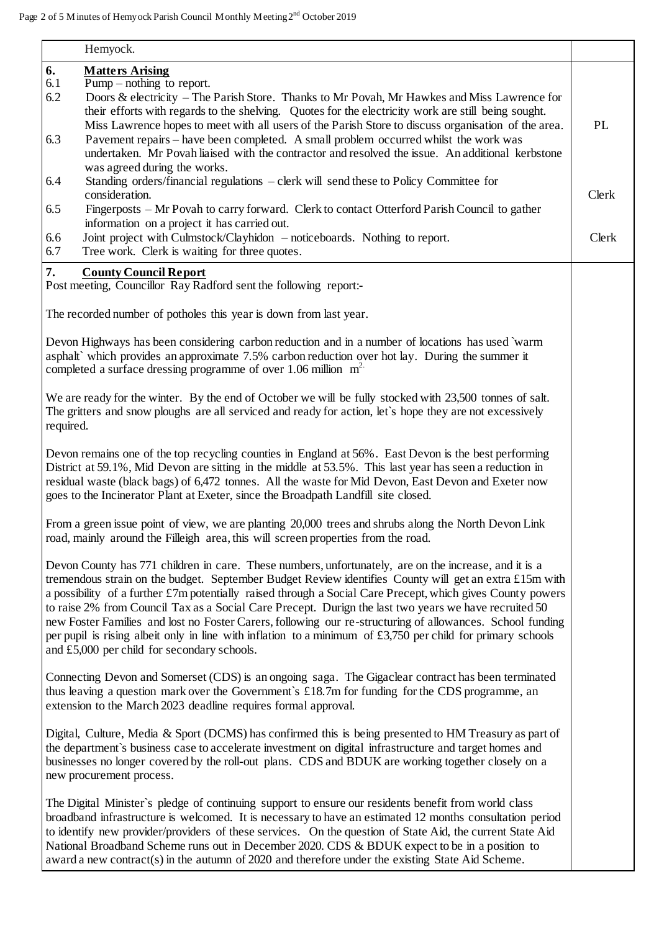|           | Hemyock.                                                                                                                                                                                                              |       |
|-----------|-----------------------------------------------------------------------------------------------------------------------------------------------------------------------------------------------------------------------|-------|
| 6.        | <b>Matters Arising</b>                                                                                                                                                                                                |       |
| 6.1       | $\overline{Pump - nothing}$ to report.                                                                                                                                                                                |       |
| 6.2       | Doors & electricity – The Parish Store. Thanks to Mr Povah, Mr Hawkes and Miss Lawrence for                                                                                                                           |       |
|           | their efforts with regards to the shelving. Quotes for the electricity work are still being sought.                                                                                                                   |       |
|           | Miss Lawrence hopes to meet with all users of the Parish Store to discuss organisation of the area.                                                                                                                   | PL    |
| 6.3       | Pavement repairs – have been completed. A small problem occurred whilst the work was                                                                                                                                  |       |
|           | undertaken. Mr Povah liaised with the contractor and resolved the issue. An additional kerbstone                                                                                                                      |       |
| 6.4       | was agreed during the works.<br>Standing orders/financial regulations - clerk will send these to Policy Committee for                                                                                                 |       |
|           | consideration.                                                                                                                                                                                                        | Clerk |
| 6.5       | Fingerposts – Mr Povah to carry forward. Clerk to contact Otterford Parish Council to gather                                                                                                                          |       |
|           | information on a project it has carried out.                                                                                                                                                                          |       |
| 6.6       | Joint project with Culmstock/Clayhidon - noticeboards. Nothing to report.                                                                                                                                             | Clerk |
| 6.7       | Tree work. Clerk is waiting for three quotes.                                                                                                                                                                         |       |
|           |                                                                                                                                                                                                                       |       |
| 7.        | <b>County Council Report</b>                                                                                                                                                                                          |       |
|           | Post meeting, Councillor Ray Radford sent the following report:-                                                                                                                                                      |       |
|           |                                                                                                                                                                                                                       |       |
|           | The recorded number of potholes this year is down from last year.                                                                                                                                                     |       |
|           | Devon Highways has been considering carbon reduction and in a number of locations has used `warm                                                                                                                      |       |
|           | asphalt` which provides an approximate 7.5% carbon reduction over hot lay. During the summer it                                                                                                                       |       |
|           | completed a surface dressing programme of over 1.06 million $m2$ .                                                                                                                                                    |       |
|           |                                                                                                                                                                                                                       |       |
|           | We are ready for the winter. By the end of October we will be fully stocked with 23,500 tonnes of salt.                                                                                                               |       |
|           | The gritters and snow ploughs are all serviced and ready for action, let's hope they are not excessively                                                                                                              |       |
| required. |                                                                                                                                                                                                                       |       |
|           |                                                                                                                                                                                                                       |       |
|           | Devon remains one of the top recycling counties in England at 56%. East Devon is the best performing                                                                                                                  |       |
|           | District at 59.1%, Mid Devon are sitting in the middle at 53.5%. This last year has seen a reduction in                                                                                                               |       |
|           | residual waste (black bags) of 6,472 tonnes. All the waste for Mid Devon, East Devon and Exeter now                                                                                                                   |       |
|           | goes to the Incinerator Plant at Exeter, since the Broadpath Landfill site closed.                                                                                                                                    |       |
|           |                                                                                                                                                                                                                       |       |
|           | From a green issue point of view, we are planting 20,000 trees and shrubs along the North Devon Link                                                                                                                  |       |
|           | road, mainly around the Filleigh area, this will screen properties from the road.                                                                                                                                     |       |
|           |                                                                                                                                                                                                                       |       |
|           | Devon County has 771 children in care. These numbers, unfortunately, are on the increase, and it is a                                                                                                                 |       |
|           | tremendous strain on the budget. September Budget Review identifies County will get an extra £15m with                                                                                                                |       |
|           | a possibility of a further £7m potentially raised through a Social Care Precept, which gives County powers                                                                                                            |       |
|           | to raise 2% from Council Tax as a Social Care Precept. Durign the last two years we have recruited 50                                                                                                                 |       |
|           | new Foster Families and lost no Foster Carers, following our re-structuring of allowances. School funding                                                                                                             |       |
|           | per pupil is rising albeit only in line with inflation to a minimum of $£3,750$ per child for primary schools                                                                                                         |       |
|           | and £5,000 per child for secondary schools.                                                                                                                                                                           |       |
|           |                                                                                                                                                                                                                       |       |
|           | Connecting Devon and Somerset (CDS) is an ongoing saga. The Gigaclear contract has been terminated                                                                                                                    |       |
|           | thus leaving a question mark over the Government's $\pounds 18.7$ m for funding for the CDS programme, an                                                                                                             |       |
|           | extension to the March 2023 deadline requires formal approval.                                                                                                                                                        |       |
|           |                                                                                                                                                                                                                       |       |
|           | Digital, Culture, Media & Sport (DCMS) has confirmed this is being presented to HM Treasury as part of                                                                                                                |       |
|           | the department's business case to accelerate investment on digital infrastructure and target homes and                                                                                                                |       |
|           | businesses no longer covered by the roll-out plans. CDS and BDUK are working together closely on a                                                                                                                    |       |
|           | new procurement process.                                                                                                                                                                                              |       |
|           |                                                                                                                                                                                                                       |       |
|           | The Digital Minister's pledge of continuing support to ensure our residents benefit from world class                                                                                                                  |       |
|           | broadband infrastructure is welcomed. It is necessary to have an estimated 12 months consultation period<br>to identify new provider/providers of these services. On the question of State Aid, the current State Aid |       |
|           | National Broadband Scheme runs out in December 2020. CDS & BDUK expect to be in a position to                                                                                                                         |       |
|           | award a new contract(s) in the autumn of 2020 and therefore under the existing State Aid Scheme.                                                                                                                      |       |
|           |                                                                                                                                                                                                                       |       |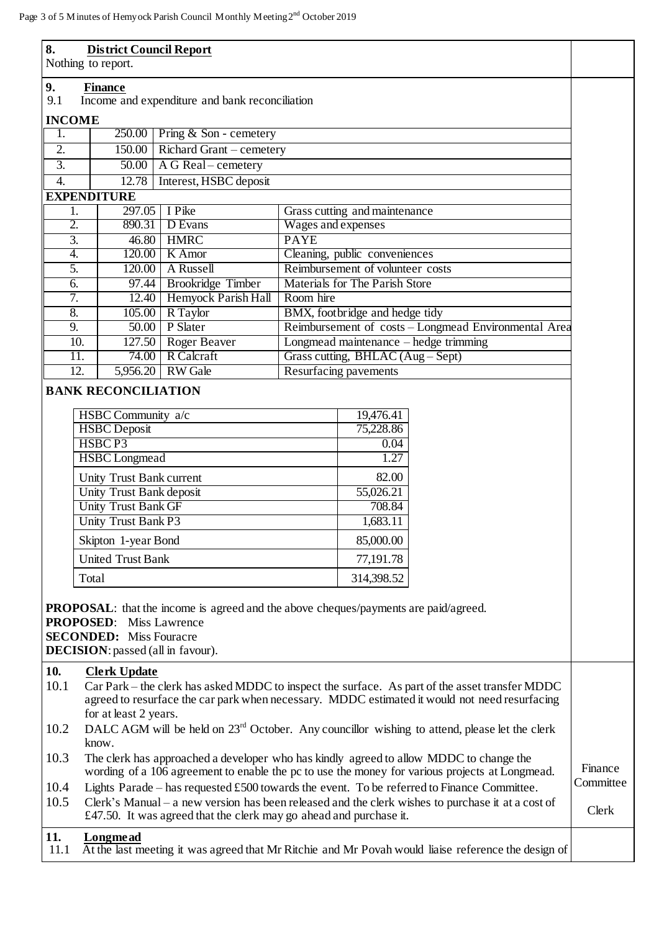| re 3 of 5 M inutes of Hemy ock Parish Council M onthly M eeting 2 decree 2019 |          |                                 |                                                      |  |  |
|-------------------------------------------------------------------------------|----------|---------------------------------|------------------------------------------------------|--|--|
| 8.<br><b>District Council Report</b><br>Nothing to report.                    |          |                                 |                                                      |  |  |
| 9.<br><b>Finance</b><br>9.1<br>Income and expenditure and bank reconciliation |          |                                 |                                                      |  |  |
| <b>INCOME</b>                                                                 |          |                                 |                                                      |  |  |
| 1.                                                                            |          | $250.00$ Pring & Son - cemetery |                                                      |  |  |
| $\overline{2}$ .                                                              | 150.00   | Richard Grant – cemetery        |                                                      |  |  |
| $\overline{3}$ .                                                              | 50.00    | A G Real – cemetery             |                                                      |  |  |
| 4.                                                                            | 12.78    | Interest, HSBC deposit          |                                                      |  |  |
| <b>EXPENDITURE</b>                                                            |          |                                 |                                                      |  |  |
| 1.                                                                            | 297.05   | I Pike                          | Grass cutting and maintenance                        |  |  |
| 2.                                                                            | 890.31   | D Evans                         | Wages and expenses                                   |  |  |
| $\overline{3}$ .                                                              | 46.80    | <b>HMRC</b>                     | <b>PAYE</b>                                          |  |  |
| 4.                                                                            | 120.00   | K Amor                          | Cleaning, public conveniences                        |  |  |
| 5.                                                                            | 120.00   | A Russell                       | Reimbursement of volunteer costs                     |  |  |
| 6.                                                                            | 97.44    | <b>Brookridge Timber</b>        | Materials for The Parish Store                       |  |  |
| 7.                                                                            | 12.40    | Hemyock Parish Hall             | Room hire                                            |  |  |
| 8.                                                                            | 105.00   | R Taylor                        | BMX, footbridge and hedge tidy                       |  |  |
| 9.                                                                            | 50.00    | P Slater                        | Reimbursement of costs – Longmead Environmental Area |  |  |
| 10.                                                                           | 127.50   | Roger Beaver                    | Longmead maintenance $-\text{hedge trimming}$        |  |  |
| 11.                                                                           | 74.00    | R Calcraft                      | Grass cutting, BHLAC (Aug – Sept)                    |  |  |
| 12.                                                                           | 5,956.20 | <b>RW</b> Gale                  | Resurfacing pavements                                |  |  |

## **BANK RECONCILIATION**

| HSBC Community a/c         | 19,476.41  |
|----------------------------|------------|
| <b>HSBC</b> Deposit        | 75,228.86  |
| HSBCP3                     | 0.04       |
| <b>HSBC</b> Longmead       | 1.27       |
| Unity Trust Bank current   | 82.00      |
| Unity Trust Bank deposit   | 55,026.21  |
| <b>Unity Trust Bank GF</b> | 708.84     |
| Unity Trust Bank P3        | 1,683.11   |
| Skipton 1-year Bond        | 85,000.00  |
| <b>United Trust Bank</b>   | 77,191.78  |
| Total                      | 314,398.52 |

**PROPOSAL**: that the income is agreed and the above cheques/payments are paid/agreed.

**PROPOSED**: Miss Lawrence

**SECONDED:** Miss Fouracre

**DECISION**: passed (all in favour).

## **10. Clerk Update**

- 10.1 Car Park the clerk has asked MDDC to inspect the surface. As part of the asset transfer MDDC agreed to resurface the car park when necessary. MDDC estimated it would not need resurfacing for at least 2 years.
- 10.2 DALC AGM will be held on 23<sup>rd</sup> October. Any councillor wishing to attend, please let the clerk know.
- 10.3 The clerk has approached a developer who has kindly agreed to allow MDDC to change the wording of a 106 agreement to enable the pc to use the money for various projects at Longmead. Finance **Committee**
- 10.4 Lights Parade has requested £500 towards the event. To be referred to Finance Committee.
- 10.5 Clerk's Manual a new version has been released and the clerk wishes to purchase it at a cost of £47.50. It was agreed that the clerk may go ahead and purchase it. Clerk

## **11. Longmead**

11.1 At the last meeting it was agreed that Mr Ritchie and Mr Povah would liaise reference the design of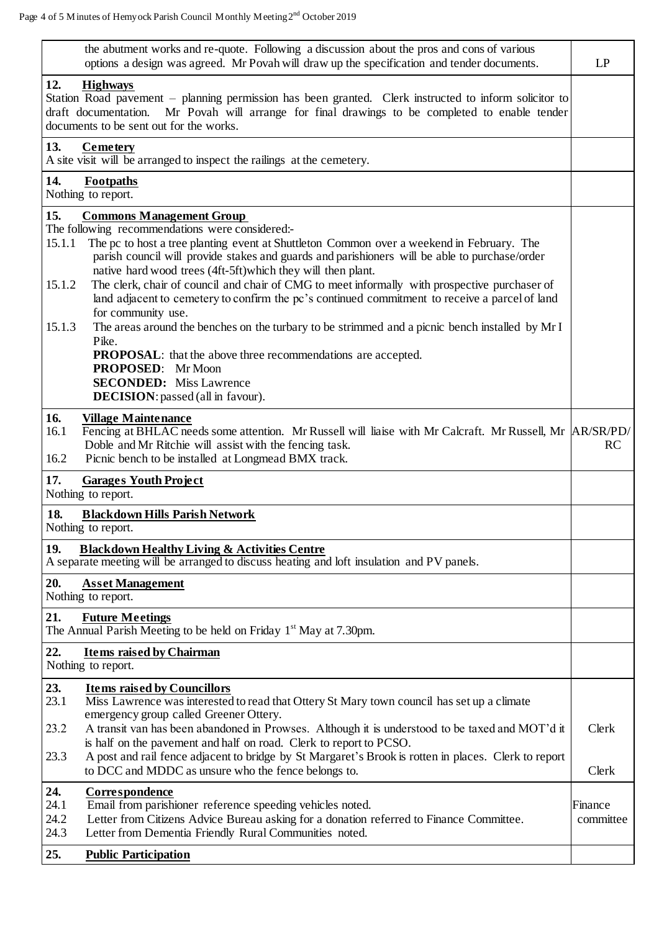| the abutment works and re-quote. Following a discussion about the pros and cons of various<br>options a design was agreed. Mr Povah will draw up the specification and tender documents.                                                                                        |           |  |  |
|---------------------------------------------------------------------------------------------------------------------------------------------------------------------------------------------------------------------------------------------------------------------------------|-----------|--|--|
| 12.<br><b>Highways</b><br>Station Road pavement – planning permission has been granted. Clerk instructed to inform solicitor to<br>Mr Povah will arrange for final drawings to be completed to enable tender<br>draft documentation.<br>documents to be sent out for the works. |           |  |  |
| 13.<br>Cemetery<br>A site visit will be arranged to inspect the railings at the cemetery.                                                                                                                                                                                       |           |  |  |
| 14.<br>Footpaths<br>Nothing to report.                                                                                                                                                                                                                                          |           |  |  |
| 15.<br><b>Commons Management Group</b>                                                                                                                                                                                                                                          |           |  |  |
| The following recommendations were considered:-<br>The pc to host a tree planting event at Shuttleton Common over a weekend in February. The<br>15.1.1                                                                                                                          |           |  |  |
| parish council will provide stakes and guards and parishioners will be able to purchase/order                                                                                                                                                                                   |           |  |  |
| native hard wood trees (4ft-5ft) which they will then plant.                                                                                                                                                                                                                    |           |  |  |
| The clerk, chair of council and chair of CMG to meet informally with prospective purchaser of<br>15.1.2                                                                                                                                                                         |           |  |  |
| land adjacent to cemetery to confirm the pc's continued commitment to receive a parcel of land<br>for community use.                                                                                                                                                            |           |  |  |
| 15.1.3<br>The areas around the benches on the turbary to be strimmed and a picnic bench installed by Mr I<br>Pike.                                                                                                                                                              |           |  |  |
| <b>PROPOSAL:</b> that the above three recommendations are accepted.                                                                                                                                                                                                             |           |  |  |
| PROPOSED: Mr Moon<br><b>SECONDED:</b> Miss Lawrence                                                                                                                                                                                                                             |           |  |  |
| DECISION: passed (all in favour).                                                                                                                                                                                                                                               |           |  |  |
| 16.<br><b>Village Maintenance</b>                                                                                                                                                                                                                                               |           |  |  |
| Fencing at BHLAC needs some attention. Mr Russell will liaise with Mr Calcraft. Mr Russell, Mr  AR/SR/PD/<br>16.1                                                                                                                                                               |           |  |  |
| Doble and Mr Ritchie will assist with the fencing task.                                                                                                                                                                                                                         | <b>RC</b> |  |  |
| 16.2<br>Picnic bench to be installed at Longmead BMX track.                                                                                                                                                                                                                     |           |  |  |
| 17.<br><b>Garages Youth Project</b><br>Nothing to report.                                                                                                                                                                                                                       |           |  |  |
| 18.<br><b>Blackdown Hills Parish Network</b><br>Nothing to report.                                                                                                                                                                                                              |           |  |  |
| 19.<br><b>Blackdown Healthy Living &amp; Activities Centre</b>                                                                                                                                                                                                                  |           |  |  |
| A separate meeting will be arranged to discuss heating and loft insulation and PV panels.                                                                                                                                                                                       |           |  |  |
| 20.<br><b>Asset Management</b><br>Nothing to report.                                                                                                                                                                                                                            |           |  |  |
| 21.<br><b>Future Meetings</b>                                                                                                                                                                                                                                                   |           |  |  |
| The Annual Parish Meeting to be held on Friday $1st$ May at 7.30pm.                                                                                                                                                                                                             |           |  |  |
| 22.<br><b>Items raised by Chairman</b><br>Nothing to report.                                                                                                                                                                                                                    |           |  |  |
| 23.<br><b>Items raised by Councillors</b>                                                                                                                                                                                                                                       |           |  |  |
| 23.1<br>Miss Lawrence was interested to read that Ottery St Mary town council has set up a climate                                                                                                                                                                              |           |  |  |
| emergency group called Greener Ottery.<br>A transit van has been abandoned in Prowses. Although it is understood to be taxed and MOT'd it<br>23.2                                                                                                                               | Clerk     |  |  |
| is half on the pavement and half on road. Clerk to report to PCSO.                                                                                                                                                                                                              |           |  |  |
| A post and rail fence adjacent to bridge by St Margaret's Brook is rotten in places. Clerk to report<br>23.3<br>to DCC and MDDC as unsure who the fence belongs to.                                                                                                             | Clerk     |  |  |
| 24.<br>Correspondence                                                                                                                                                                                                                                                           |           |  |  |
| 24.1<br>Email from parishioner reference speeding vehicles noted.                                                                                                                                                                                                               | Finance   |  |  |
| 24.2<br>Letter from Citizens Advice Bureau asking for a donation referred to Finance Committee.<br>24.3<br>Letter from Dementia Friendly Rural Communities noted.                                                                                                               | committee |  |  |
|                                                                                                                                                                                                                                                                                 |           |  |  |
| 25.<br><b>Public Participation</b>                                                                                                                                                                                                                                              |           |  |  |